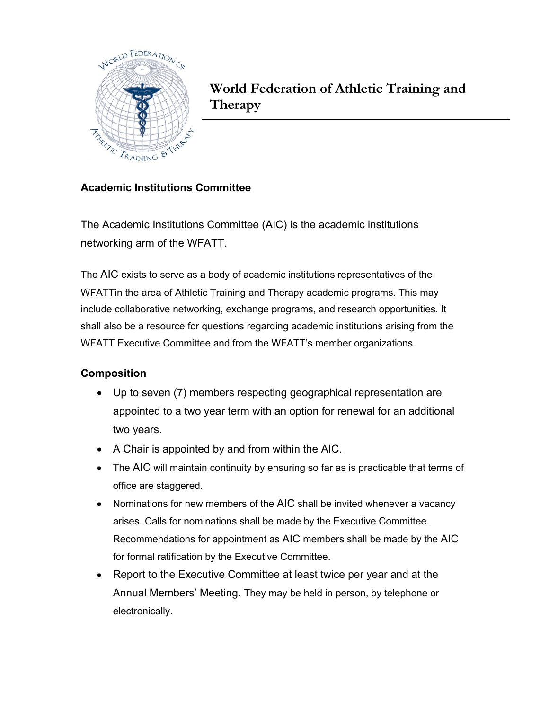

**World Federation of Athletic Training and Therapy**

## **Academic Institutions Committee**

The Academic Institutions Committee (AIC) is the academic institutions networking arm of the WFATT.

The AIC exists to serve as a body of academic institutions representatives of the WFATTin the area of Athletic Training and Therapy academic programs. This may include collaborative networking, exchange programs, and research opportunities. It shall also be a resource for questions regarding academic institutions arising from the WFATT Executive Committee and from the WFATT's member organizations.

## **Composition**

- Up to seven (7) members respecting geographical representation are appointed to a two year term with an option for renewal for an additional two years.
- A Chair is appointed by and from within the AIC.
- The AIC will maintain continuity by ensuring so far as is practicable that terms of office are staggered.
- Nominations for new members of the AIC shall be invited whenever a vacancy arises. Calls for nominations shall be made by the Executive Committee. Recommendations for appointment as AIC members shall be made by the AIC for formal ratification by the Executive Committee.
- Report to the Executive Committee at least twice per year and at the Annual Members' Meeting. They may be held in person, by telephone or electronically.